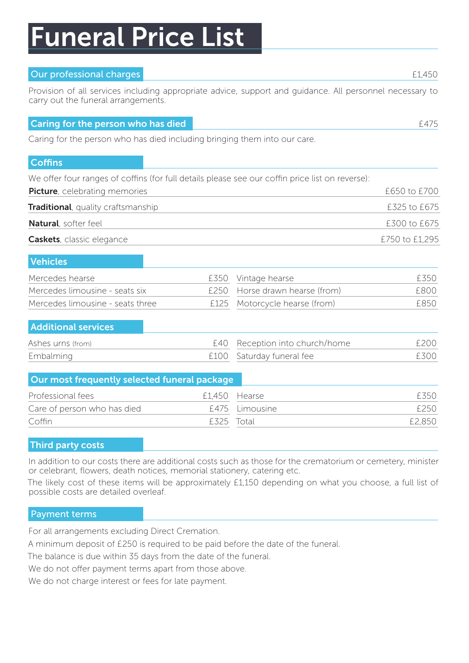# Funeral Price List

#### Our professional charges £1,450

Provision of all services including appropriate advice, support and guidance. All personnel necessary to carry out the funeral arrangements.

#### **Caring for the person who has died [475] Caring for the person who has died [475]**

Caring for the person who has died including bringing them into our care.

#### **Coffins**

We offer four ranges of coffins (for full details please see our coffin price list on reverse):

| <b>Picture</b> , celebrating memories      | £650 to £700   |
|--------------------------------------------|----------------|
| <b>Traditional</b> , quality craftsmanship | £325 to £675   |
| <b>Natural</b> , softer feel               | £300 to £675   |
| <b>Caskets</b> , classic elegance          | £750 to £1,295 |

| <b>Vehicles</b>                  |                                |        |
|----------------------------------|--------------------------------|--------|
| Mercedes hearse                  | £350 Vintage hearse            | F350.  |
| Mercedes limousine - seats six   | £250 Horse drawn hearse (from) | F800   |
| Mercedes limousine - seats three | £125 Motorcycle hearse (from)  | F850 F |

#### Additional services

| Ashes urns (from) | E40 Reception into church/home | £200 |
|-------------------|--------------------------------|------|
| Embalming         | £100 Saturday funeral fee      | F300 |

| Our most frequently selected funeral package |            |                |        |
|----------------------------------------------|------------|----------------|--------|
| Professional fees                            |            | £1,450 Hearse  | F350.  |
| Care of person who has died                  |            | £475 Limousine | F250   |
| Coffin                                       | F325 Total |                | £2,850 |

#### Third party costs

In addition to our costs there are additional costs such as those for the crematorium or cemetery, minister or celebrant, flowers, death notices, memorial stationery, catering etc.

The likely cost of these items will be approximately £1,150 depending on what you choose, a full list of possible costs are detailed overleaf.

#### Payment terms

For all arrangements excluding Direct Cremation.

A minimum deposit of £250 is required to be paid before the date of the funeral.

The balance is due within 35 days from the date of the funeral.

We do not offer payment terms apart from those above.

We do not charge interest or fees for late payment.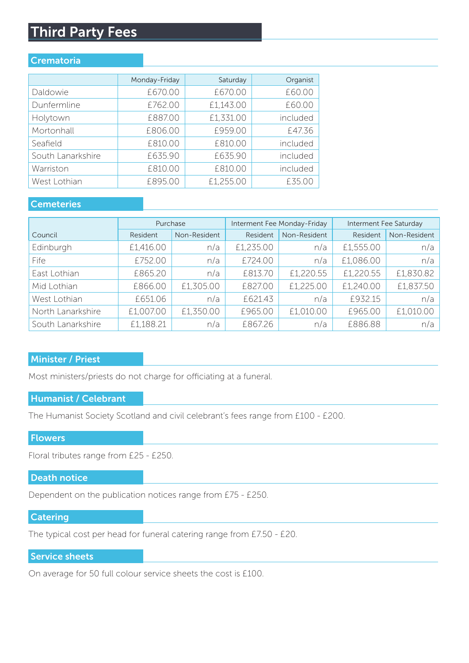## Third Party Fees

#### **Crematoria**

| Monday-Friday | Saturday  | Organist |
|---------------|-----------|----------|
| £670.00       | £670.00   | £60.00   |
| £762.00       | £1,143.00 | £60.00   |
| £887.00       | £1,331.00 | included |
| £806.00       | £959.00   | £47.36   |
| £810.00       | £810.00   | included |
| £635.90       | £635.90   | included |
| £810.00       | £810.00   | included |
| £895.00       | £1,255.00 | £35.00   |
|               |           |          |

#### **Cemeteries**

|                   | Purchase  |              | Interment Fee Monday-Friday |              | Interment Fee Saturday |              |
|-------------------|-----------|--------------|-----------------------------|--------------|------------------------|--------------|
| Council           | Resident  | Non-Resident | Resident                    | Non-Resident | Resident               | Non-Resident |
| Edinburgh         | £1,416.00 | n/a          | £1,235.00                   | n/a          | £1,555.00              | n/a          |
| Fife              | £752.00   | n/a          | £724.00                     | n/a          | £1,086.00              | n/a          |
| East Lothian      | £865.20   | n/a          | £813.70                     | £1,220.55    | £1,220.55              | £1,830.82    |
| Mid Lothian       | £866.00   | £1,305.00    | £827.00                     | £1,225.00    | £1,240.00              | £1,837.50    |
| West Lothian      | £651.06   | n/a          | £621.43                     | n/a          | £932.15                | n/a          |
| North Lanarkshire | £1,007.00 | £1,350.00    | £965.00                     | £1,010.00    | £965.00                | £1,010.00    |
| South Lanarkshire | £1,188.21 | n/a          | £867.26                     | n/a          | £886.88                | n/a          |

#### Minister / Priest

Most ministers/priests do not charge for officiating at a funeral.

#### Humanist / Celebrant

The Humanist Society Scotland and civil celebrant's fees range from £100 - £200.

#### **Flowers**

Floral tributes range from £25 - £250.

#### Death notice

Dependent on the publication notices range from £75 - £250.

#### Catering

The typical cost per head for funeral catering range from £7.50 - £20.

#### Service sheets

On average for 50 full colour service sheets the cost is £100.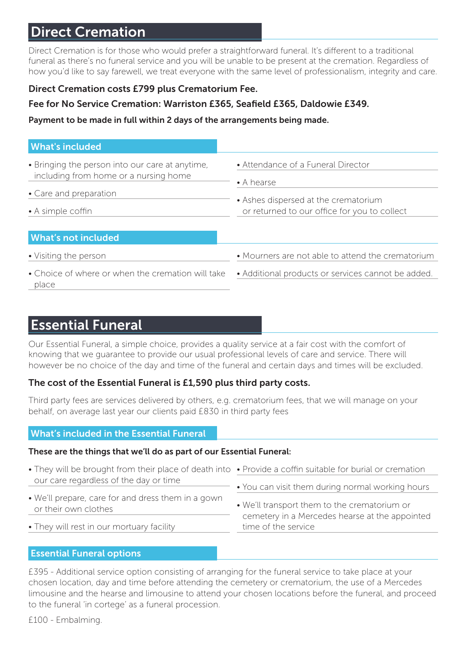## Direct Cremation

Direct Cremation is for those who would prefer a straightforward funeral. It's different to a traditional funeral as there's no funeral service and you will be unable to be present at the cremation. Regardless of how you'd like to say farewell, we treat everyone with the same level of professionalism, integrity and care.

#### Direct Cremation costs £799 plus Crematorium Fee.

#### Fee for No Service Cremation: Warriston £365, Seafield £365, Daldowie £349.

Payment to be made in full within 2 days of the arrangements being made.

#### What's included

| • Bringing the person into our care at anytime,<br>including from home or a nursing home<br>• Care and preparation<br>• A simple coffin | • Attendance of a Funeral Director<br>$\bullet$ A hearse<br>• Ashes dispersed at the crematorium<br>or returned to our office for you to collect |
|-----------------------------------------------------------------------------------------------------------------------------------------|--------------------------------------------------------------------------------------------------------------------------------------------------|
| <b>What's not included</b>                                                                                                              |                                                                                                                                                  |
| • Visiting the person                                                                                                                   | • Mourners are not able to attend the crematorium                                                                                                |
| • Choice of where or when the cremation will take<br>place                                                                              | • Additional products or services cannot be added.                                                                                               |

### Essential Funeral

Our Essential Funeral, a simple choice, provides a quality service at a fair cost with the comfort of knowing that we guarantee to provide our usual professional levels of care and service. There will however be no choice of the day and time of the funeral and certain days and times will be excluded.

#### The cost of the Essential Funeral is £1,590 plus third party costs.

Third party fees are services delivered by others, e.g. crematorium fees, that we will manage on your behalf, on average last year our clients paid £830 in third party fees

#### What's included in the Essential Funeral

#### These are the things that we'll do as part of our Essential Funeral:

| • They will be brought from their place of death into • Provide a coffin suitable for burial or cremation |                                                                       |
|-----------------------------------------------------------------------------------------------------------|-----------------------------------------------------------------------|
| our care regardless of the day or time                                                                    | • You can visit them during normal working hours                      |
| • We'll prepare, care for and dress them in a gown<br>or their own clothes                                | • We'll transport them to the crematorium or                          |
| • They will rest in our mortuary facility                                                                 | cemetery in a Mercedes hearse at the appointed<br>time of the service |

#### Essential Funeral options

£395 - Additional service option consisting of arranging for the funeral service to take place at your chosen location, day and time before attending the cemetery or crematorium, the use of a Mercedes limousine and the hearse and limousine to attend your chosen locations before the funeral, and proceed to the funeral 'in cortege' as a funeral procession.

£100 - Embalming.